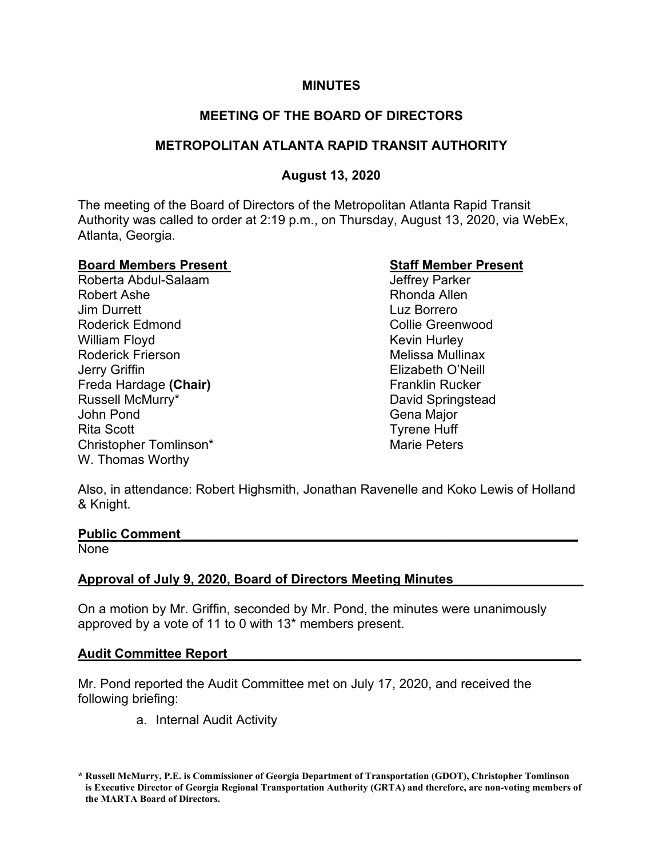## **MINUTES**

# **MEETING OF THE BOARD OF DIRECTORS**

# **METROPOLITAN ATLANTA RAPID TRANSIT AUTHORITY**

# **August 13, 2020**

The meeting of the Board of Directors of the Metropolitan Atlanta Rapid Transit Authority was called to order at 2:19 p.m., on Thursday, August 13, 2020, via WebEx, Atlanta, Georgia.

**Board Members Present Staff Member Present** Roberta Abdul-Salaam Robert Ashe Rhonda Allen **Jim Durrett** Luz Borrero Roderick Edmond Collie Greenwood William Floyd **Kevin Hurley** Kevin Hurley Roderick Frierson **Melissa Mullinax** Jerry Griffin Elizabeth O'Neill Freda Hardage **(Chair)** Franklin Rucker<br>Russell McMurry\* **Franklin** David Springste John Pond Gena Major Rita Scott **Tyrene** Huff Christopher Tomlinson\* Marie Peters W. Thomas Worthy

David Springstead

Also, in attendance: Robert Highsmith, Jonathan Ravenelle and Koko Lewis of Holland & Knight.

### **Public Comment\_\_\_\_\_\_\_\_\_\_\_\_\_\_\_\_\_\_\_\_\_\_\_\_\_\_\_\_\_\_\_\_\_\_\_\_\_\_\_\_\_\_\_\_\_\_\_\_\_\_\_\_\_\_\_**

None

# **Approval of July 9, 2020, Board of Directors Meeting Minutes\_\_\_\_\_\_\_\_\_\_\_\_\_\_\_\_\_\_**

On a motion by Mr. Griffin, seconded by Mr. Pond, the minutes were unanimously approved by a vote of 11 to 0 with 13\* members present.

### **Audit Committee Report\_\_\_\_\_\_\_\_\_\_\_\_\_\_\_\_\_\_\_\_\_\_\_\_\_\_\_\_\_\_\_\_\_\_\_\_\_\_\_\_\_\_\_\_\_\_\_\_\_**

Mr. Pond reported the Audit Committee met on July 17, 2020, and received the following briefing:

a. Internal Audit Activity

**<sup>\*</sup> Russell McMurry, P.E. is Commissioner of Georgia Department of Transportation (GDOT), Christopher Tomlinson is Executive Director of Georgia Regional Transportation Authority (GRTA) and therefore, are non-voting members of the MARTA Board of Directors.**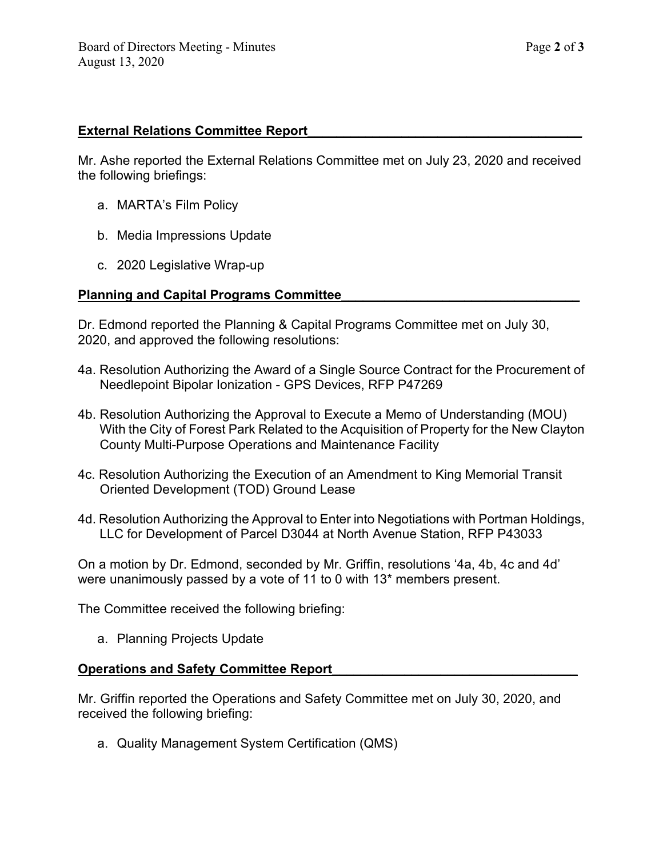## **External Relations Committee Report\_\_\_\_\_\_\_\_\_\_\_\_\_\_\_\_\_\_\_\_\_\_\_\_\_\_\_\_\_\_\_\_\_\_\_\_\_\_**

Mr. Ashe reported the External Relations Committee met on July 23, 2020 and received the following briefings:

- a. MARTA's Film Policy
- b. Media Impressions Update
- c. 2020 Legislative Wrap-up

## **Planning and Capital Programs Committee\_\_\_\_\_\_\_\_\_\_\_\_\_\_\_\_\_\_\_\_\_\_\_\_\_\_\_\_\_\_\_\_\_**

Dr. Edmond reported the Planning & Capital Programs Committee met on July 30, 2020, and approved the following resolutions:

- 4a. Resolution Authorizing the Award of a Single Source Contract for the Procurement of Needlepoint Bipolar Ionization - GPS Devices, RFP P47269
- 4b. Resolution Authorizing the Approval to Execute a Memo of Understanding (MOU) With the City of Forest Park Related to the Acquisition of Property for the New Clayton County Multi-Purpose Operations and Maintenance Facility
- 4c. Resolution Authorizing the Execution of an Amendment to King Memorial Transit Oriented Development (TOD) Ground Lease
- 4d. Resolution Authorizing the Approval to Enter into Negotiations with Portman Holdings, LLC for Development of Parcel D3044 at North Avenue Station, RFP P43033

On a motion by Dr. Edmond, seconded by Mr. Griffin, resolutions '4a, 4b, 4c and 4d' were unanimously passed by a vote of 11 to 0 with 13\* members present.

The Committee received the following briefing:

a. Planning Projects Update

### **Operations and Safety Committee Report**

Mr. Griffin reported the Operations and Safety Committee met on July 30, 2020, and received the following briefing:

a. Quality Management System Certification (QMS)